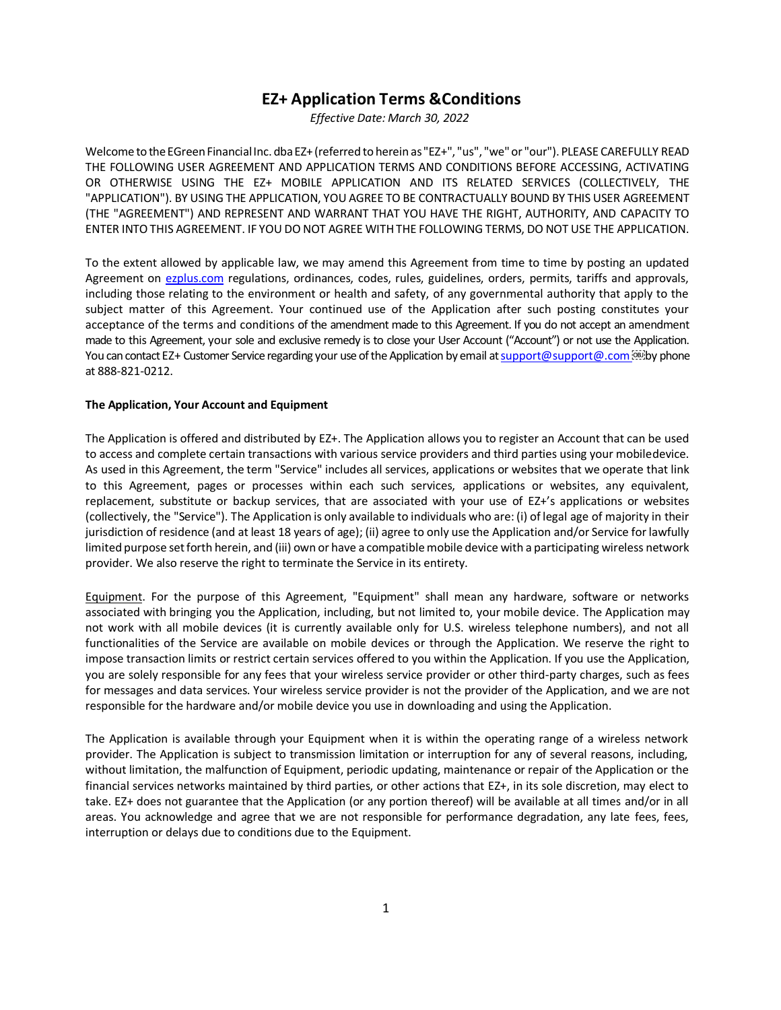# **EZ+ Application Terms &Conditions**

*Effective Date: March 30, 2022*

Welcome to the EGreen Financial Inc. dba EZ+ (referred to herein as "EZ+", "us", "we" or "our"). PLEASE CAREFULLY READ THE FOLLOWING USER AGREEMENT AND APPLICATION TERMS AND CONDITIONS BEFORE ACCESSING, ACTIVATING OR OTHERWISE USING THE EZ+ MOBILE APPLICATION AND ITS RELATED SERVICES (COLLECTIVELY, THE "APPLICATION"). BY USING THE APPLICATION, YOU AGREE TO BE CONTRACTUALLY BOUND BY THIS USER AGREEMENT (THE "AGREEMENT") AND REPRESENT AND WARRANT THAT YOU HAVE THE RIGHT, AUTHORITY, AND CAPACITY TO ENTER INTO THIS AGREEMENT. IF YOU DO NOT AGREE WITH THE FOLLOWING TERMS, DO NOT USE THE APPLICATION.

To the extent allowed by applicable law, we may amend this Agreement from time to time by posting an updated Agreement on ezplus.com regulations, ordinances, codes, rules, guidelines, orders, permits, tariffs and approvals, including those relating to the environment or health and safety, of any governmental authority that apply to the subject matter of this Agreement. Your continued use of the Application after such posting constitutes your acceptance of the terms and conditions of the amendment made to this Agreement. If you do not accept an amendment made to this Agreement, your sole and exclusive remedy is to close your User Account ("Account") or not use the Application. You can contact EZ+ Customer Service regarding your use of the Application by email at support@support@.com @D at 888-821-0212.

### **The Application, Your Account and Equipment**

The Application is offered and distributed by EZ+. The Application allows you to register an Account that can be used to access and complete certain transactions with various service providers and third parties using your mobiledevice. As used in this Agreement, the term "Service" includes all services, applications or websites that we operate that link to this Agreement, pages or processes within each such services, applications or websites, any equivalent, replacement, substitute or backup services, that are associated with your use of EZ+'s applications or websites (collectively, the "Service"). The Application is only available to individuals who are: (i) of legal age of majority in their jurisdiction of residence (and at least 18 years of age); (ii) agree to only use the Application and/or Service for lawfully limited purpose set forth herein, and (iii) own or have a compatible mobile device with a participating wireless network provider. We also reserve the right to terminate the Service in its entirety.

Equipment. For the purpose of this Agreement, "Equipment" shall mean any hardware, software or networks associated with bringing you the Application, including, but not limited to, your mobile device. The Application may not work with all mobile devices (it is currently available only for U.S. wireless telephone numbers), and not all functionalities of the Service are available on mobile devices or through the Application. We reserve the right to impose transaction limits or restrict certain services offered to you within the Application. If you use the Application, you are solely responsible for any fees that your wireless service provider or other third-party charges, such as fees for messages and data services. Your wireless service provider is not the provider of the Application, and we are not responsible for the hardware and/or mobile device you use in downloading and using the Application.

The Application is available through your Equipment when it is within the operating range of a wireless network provider. The Application is subject to transmission limitation or interruption for any of several reasons, including, without limitation, the malfunction of Equipment, periodic updating, maintenance or repair of the Application or the financial services networks maintained by third parties, or other actions that EZ+, in its sole discretion, may elect to take. EZ+ does not guarantee that the Application (or any portion thereof) will be available at all times and/or in all areas. You acknowledge and agree that we are not responsible for performance degradation, any late fees, fees, interruption or delays due to conditions due to the Equipment.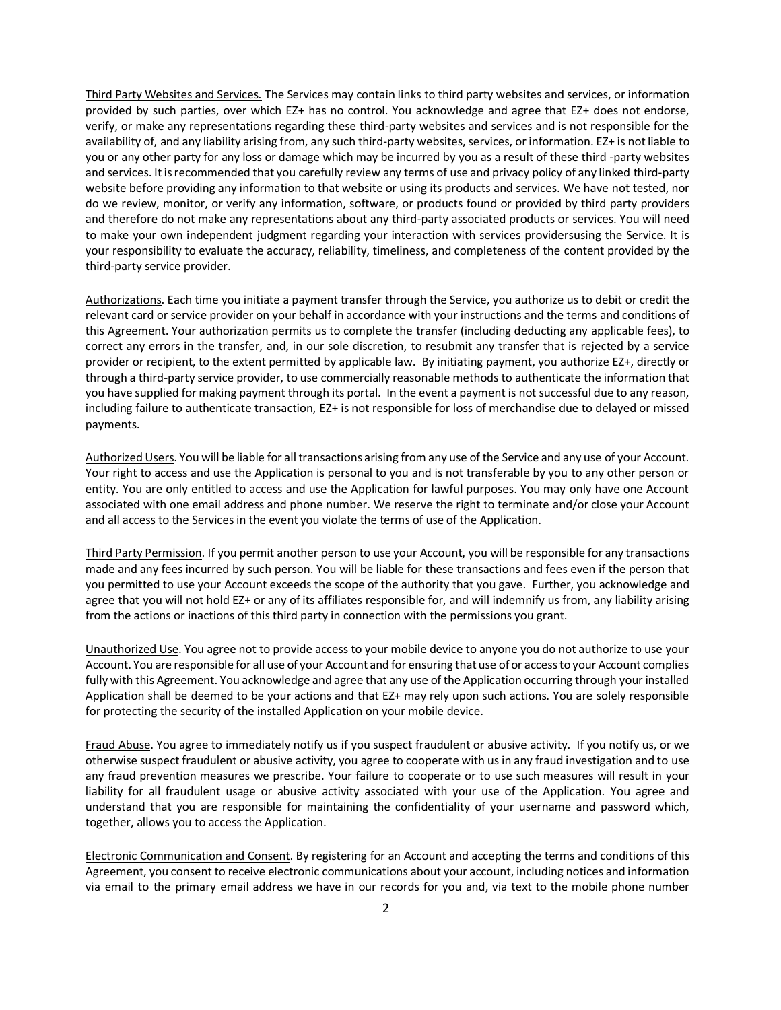Third Party Websites and Services. The Services may contain links to third party websites and services, or information provided by such parties, over which EZ+ has no control. You acknowledge and agree that EZ+ does not endorse, verify, or make any representations regarding these third-party websites and services and is not responsible for the availability of, and any liability arising from, any such third-party websites, services, or information. EZ+ is not liable to you or any other party for any loss or damage which may be incurred by you as a result of these third -party websites and services. It is recommended that you carefully review any terms of use and privacy policy of any linked third-party website before providing any information to that website or using its products and services. We have not tested, nor do we review, monitor, or verify any information, software, or products found or provided by third party providers and therefore do not make any representations about any third-party associated products or services. You will need to make your own independent judgment regarding your interaction with services providersusing the Service. It is your responsibility to evaluate the accuracy, reliability, timeliness, and completeness of the content provided by the third-party service provider.

Authorizations. Each time you initiate a payment transfer through the Service, you authorize us to debit or credit the relevant card or service provider on your behalf in accordance with your instructions and the terms and conditions of this Agreement. Your authorization permits us to complete the transfer (including deducting any applicable fees), to correct any errors in the transfer, and, in our sole discretion, to resubmit any transfer that is rejected by a service provider or recipient, to the extent permitted by applicable law. By initiating payment, you authorize EZ+, directly or through a third-party service provider, to use commercially reasonable methods to authenticate the information that you have supplied for making payment through its portal. In the event a payment is not successful due to any reason, including failure to authenticate transaction, EZ+ is not responsible for loss of merchandise due to delayed or missed payments.

Authorized Users. You will be liable for all transactions arising from any use of the Service and any use of your Account. Your right to access and use the Application is personal to you and is not transferable by you to any other person or entity. You are only entitled to access and use the Application for lawful purposes. You may only have one Account associated with one email address and phone number. We reserve the right to terminate and/or close your Account and all access to the Services in the event you violate the terms of use of the Application.

Third Party Permission. If you permit another person to use your Account, you will be responsible for any transactions made and any fees incurred by such person. You will be liable for these transactions and fees even if the person that you permitted to use your Account exceeds the scope of the authority that you gave. Further, you acknowledge and agree that you will not hold EZ+ or any of its affiliates responsible for, and will indemnify us from, any liability arising from the actions or inactions of this third party in connection with the permissions you grant.

Unauthorized Use. You agree not to provide access to your mobile device to anyone you do not authorize to use your Account. You are responsible for all use of your Account and for ensuring that use of or accessto your Account complies fully with this Agreement. You acknowledge and agree that any use of the Application occurring through your installed Application shall be deemed to be your actions and that EZ+ may rely upon such actions. You are solely responsible for protecting the security of the installed Application on your mobile device.

Fraud Abuse. You agree to immediately notify us if you suspect fraudulent or abusive activity. If you notify us, or we otherwise suspect fraudulent or abusive activity, you agree to cooperate with us in any fraud investigation and to use any fraud prevention measures we prescribe. Your failure to cooperate or to use such measures will result in your liability for all fraudulent usage or abusive activity associated with your use of the Application. You agree and understand that you are responsible for maintaining the confidentiality of your username and password which, together, allows you to access the Application.

Electronic Communication and Consent. By registering for an Account and accepting the terms and conditions of this Agreement, you consent to receive electronic communications about your account, including notices and information via email to the primary email address we have in our records for you and, via text to the mobile phone number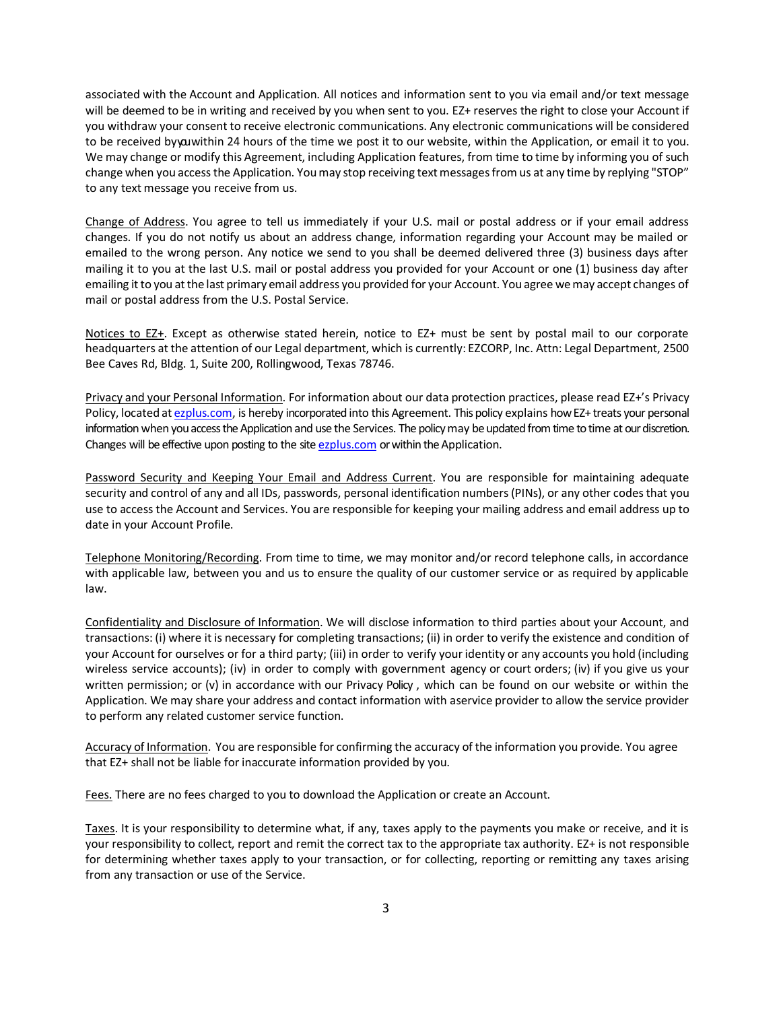associated with the Account and Application. All notices and information sent to you via email and/or text message will be deemed to be in writing and received by you when sent to you. EZ+ reserves the right to close your Account if you withdraw your consent to receive electronic communications. Any electronic communications will be considered to be received byya within 24 hours of the time we post it to our website, within the Application, or email it to you. We may change or modify this Agreement, including Application features, from time to time by informing you of such change when you access the Application. You may stop receiving text messages from us at any time by replying "STOP" to any text message you receive from us.

Change of Address. You agree to tell us immediately if your U.S. mail or postal address or if your email address changes. If you do not notify us about an address change, information regarding your Account may be mailed or emailed to the wrong person. Any notice we send to you shall be deemed delivered three (3) business days after mailing it to you at the last U.S. mail or postal address you provided for your Account or one (1) business day after emailing it to you at the last primary email address you provided for your Account. You agree we may accept changes of mail or postal address from the U.S. Postal Service.

Notices to EZ+. Except as otherwise stated herein, notice to EZ+ must be sent by postal mail to our corporate headquarters at the attention of our Legal department, which is currently: EZCORP, Inc. Attn: Legal Department, 2500 Bee Caves Rd, Bldg. 1, Suite 200, Rollingwood, Texas 78746.

Privacy and your Personal Information. For information about our data protection practices, please read EZ+'s Privacy Policy, located at [ezplus.com,](https://ezplus.com/) is hereby incorporated into this Agreement. This policy explains how EZ+ treats your personal information when you access the Application and use the Services. The policy may be updated from time to time at our discretion. Changes will be effective upon posting to the site [ezplus.com](https://ezplus.com/) or within the Application.

Password Security and Keeping Your Email and Address Current. You are responsible for maintaining adequate security and control of any and all IDs, passwords, personal identification numbers (PINs), or any other codes that you use to access the Account and Services. You are responsible for keeping your mailing address and email address up to date in your Account Profile.

Telephone Monitoring/Recording. From time to time, we may monitor and/or record telephone calls, in accordance with applicable law, between you and us to ensure the quality of our customer service or as required by applicable law.

Confidentiality and Disclosure of Information. We will disclose information to third parties about your Account, and transactions: (i) where it is necessary for completing transactions; (ii) in order to verify the existence and condition of your Account for ourselves or for a third party; (iii) in order to verify youridentity or any accounts you hold (including wireless service accounts); (iv) in order to comply with government agency or court orders; (iv) if you give us your written permission; or (v) in accordance with our Privacy Policy , which can be found on our website or within the Application. We may share your address and contact information with aservice provider to allow the service provider to perform any related customer service function.

Accuracy of Information. You are responsible for confirming the accuracy of the information you provide. You agree that EZ+ shall not be liable for inaccurate information provided by you.

Fees. There are no fees charged to you to download the Application or create an Account.

Taxes. It is your responsibility to determine what, if any, taxes apply to the payments you make or receive, and it is your responsibility to collect, report and remit the correct tax to the appropriate tax authority. EZ+ is not responsible for determining whether taxes apply to your transaction, or for collecting, reporting or remitting any taxes arising from any transaction or use of the Service.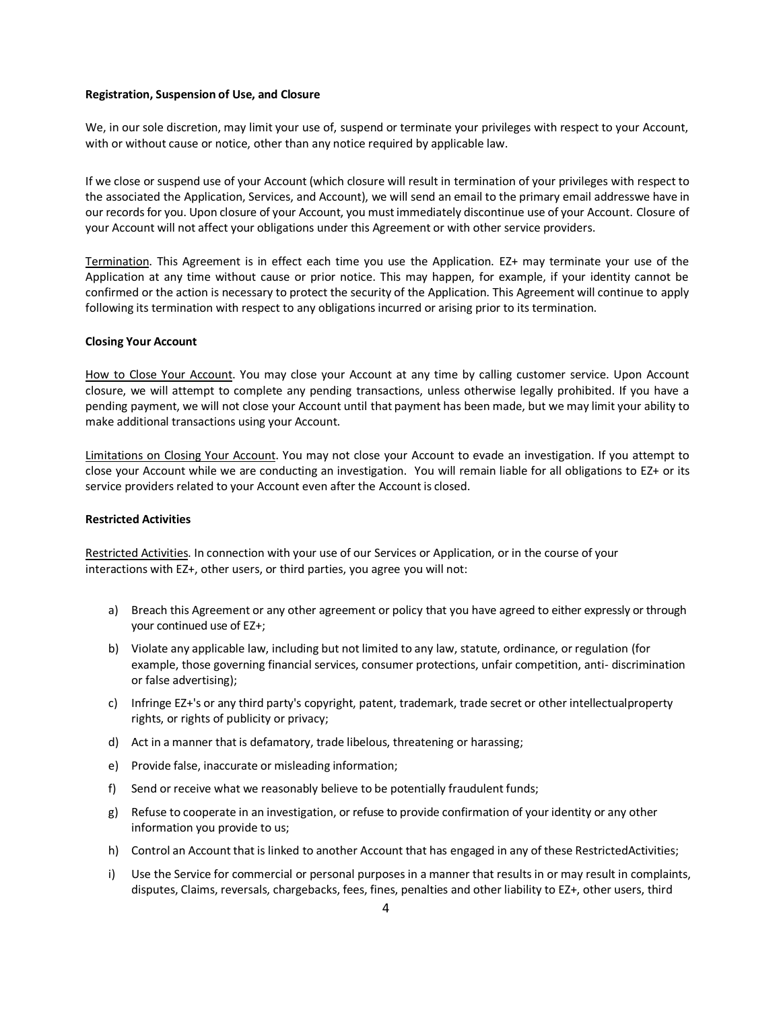### **Registration, Suspension of Use, and Closure**

We, in our sole discretion, may limit your use of, suspend or terminate your privileges with respect to your Account, with or without cause or notice, other than any notice required by applicable law.

If we close or suspend use of your Account (which closure will result in termination of your privileges with respect to the associated the Application, Services, and Account), we will send an email to the primary email addresswe have in our recordsfor you. Upon closure of your Account, you mustimmediately discontinue use of your Account. Closure of your Account will not affect your obligations under this Agreement or with other service providers.

Termination. This Agreement is in effect each time you use the Application. EZ+ may terminate your use of the Application at any time without cause or prior notice. This may happen, for example, if your identity cannot be confirmed or the action is necessary to protect the security of the Application. This Agreement will continue to apply following its termination with respect to any obligations incurred or arising prior to its termination.

### **Closing Your Account**

How to Close Your Account. You may close your Account at any time by calling customer service. Upon Account closure, we will attempt to complete any pending transactions, unless otherwise legally prohibited. If you have a pending payment, we will not close your Account until that payment has been made, but we may limit your ability to make additional transactions using your Account.

Limitations on Closing Your Account. You may not close your Account to evade an investigation. If you attempt to close your Account while we are conducting an investigation. You will remain liable for all obligations to EZ+ or its service providers related to your Account even after the Account is closed.

### **Restricted Activities**

Restricted Activities. In connection with your use of our Services or Application, or in the course of your interactions with EZ+, other users, or third parties, you agree you will not:

- a) Breach this Agreement or any other agreement or policy that you have agreed to either expressly or through your continued use of EZ+;
- b) Violate any applicable law, including but not limited to any law, statute, ordinance, or regulation (for example, those governing financial services, consumer protections, unfair competition, anti- discrimination or false advertising);
- c) Infringe EZ+'s or any third party's copyright, patent, trademark, trade secret or other intellectualproperty rights, or rights of publicity or privacy;
- d) Act in a manner that is defamatory, trade libelous, threatening or harassing;
- e) Provide false, inaccurate or misleading information;
- f) Send or receive what we reasonably believe to be potentially fraudulent funds;
- g) Refuse to cooperate in an investigation, or refuse to provide confirmation of your identity or any other information you provide to us;
- h) Control an Account that is linked to another Account that has engaged in any of these RestrictedActivities;
- i) Use the Service for commercial or personal purposes in a manner that results in or may result in complaints, disputes, Claims, reversals, chargebacks, fees, fines, penalties and other liability to EZ+, other users, third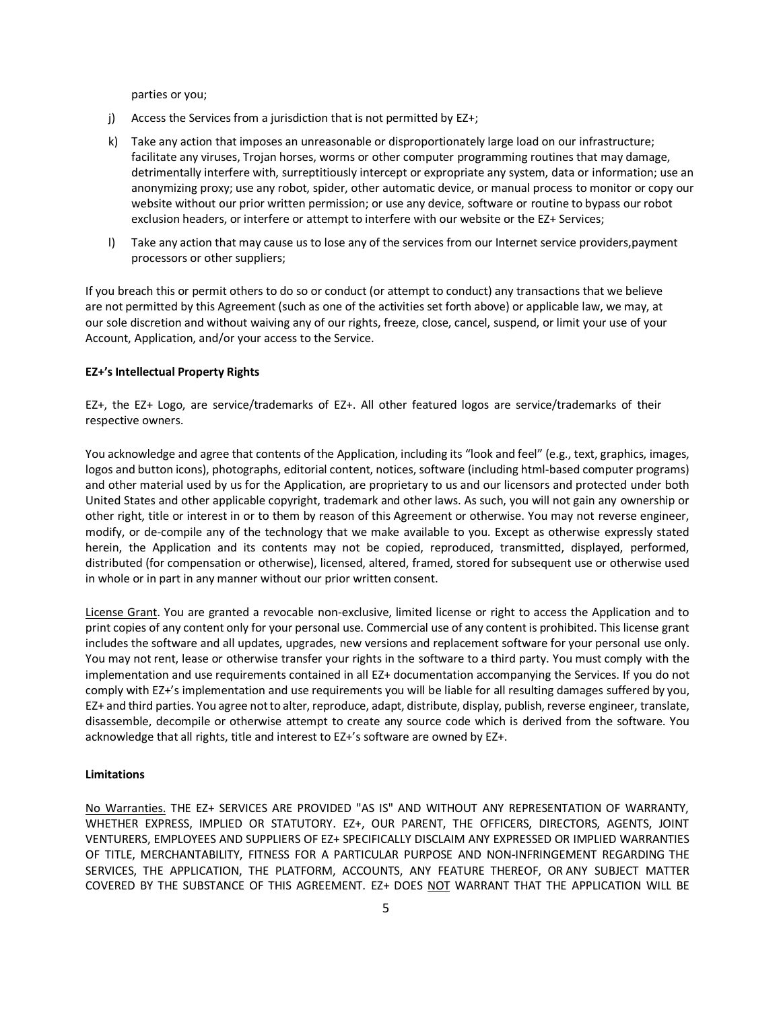parties or you;

- j) Access the Services from a jurisdiction that is not permitted by EZ+;
- k) Take any action that imposes an unreasonable or disproportionately large load on our infrastructure; facilitate any viruses, Trojan horses, worms or other computer programming routines that may damage, detrimentally interfere with, surreptitiously intercept or expropriate any system, data or information; use an anonymizing proxy; use any robot, spider, other automatic device, or manual process to monitor or copy our website without our prior written permission; or use any device, software or routine to bypass our robot exclusion headers, or interfere or attempt to interfere with our website or the EZ+ Services;
- l) Take any action that may cause us to lose any of the services from our Internet service providers,payment processors or other suppliers;

If you breach this or permit others to do so or conduct (or attempt to conduct) any transactions that we believe are not permitted by this Agreement (such as one of the activities set forth above) or applicable law, we may, at our sole discretion and without waiving any of our rights, freeze, close, cancel, suspend, or limit your use of your Account, Application, and/or your access to the Service.

### **EZ+'s Intellectual Property Rights**

EZ+, the EZ+ Logo, are service/trademarks of EZ+. All other featured logos are service/trademarks of their respective owners.

You acknowledge and agree that contents of the Application, including its "look and feel" (e.g., text, graphics, images, logos and button icons), photographs, editorial content, notices, software (including html-based computer programs) and other material used by us for the Application, are proprietary to us and our licensors and protected under both United States and other applicable copyright, trademark and other laws. As such, you will not gain any ownership or other right, title or interest in or to them by reason of this Agreement or otherwise. You may not reverse engineer, modify, or de-compile any of the technology that we make available to you. Except as otherwise expressly stated herein, the Application and its contents may not be copied, reproduced, transmitted, displayed, performed, distributed (for compensation or otherwise), licensed, altered, framed, stored for subsequent use or otherwise used in whole or in part in any manner without our prior written consent.

License Grant. You are granted a revocable non-exclusive, limited license or right to access the Application and to print copies of any content only for your personal use. Commercial use of any content is prohibited. This license grant includes the software and all updates, upgrades, new versions and replacement software for your personal use only. You may not rent, lease or otherwise transfer your rights in the software to a third party. You must comply with the implementation and use requirements contained in all EZ+ documentation accompanying the Services. If you do not comply with EZ+'s implementation and use requirements you will be liable for all resulting damages suffered by you, EZ+ and third parties. You agree notto alter, reproduce, adapt, distribute, display, publish, reverse engineer, translate, disassemble, decompile or otherwise attempt to create any source code which is derived from the software. You acknowledge that all rights, title and interest to EZ+'s software are owned by EZ+.

#### **Limitations**

No Warranties. THE EZ+ SERVICES ARE PROVIDED "AS IS" AND WITHOUT ANY REPRESENTATION OF WARRANTY, WHETHER EXPRESS, IMPLIED OR STATUTORY. EZ+, OUR PARENT, THE OFFICERS, DIRECTORS, AGENTS, JOINT VENTURERS, EMPLOYEES AND SUPPLIERS OF EZ+ SPECIFICALLY DISCLAIM ANY EXPRESSED OR IMPLIED WARRANTIES OF TITLE, MERCHANTABILITY, FITNESS FOR A PARTICULAR PURPOSE AND NON-INFRINGEMENT REGARDING THE SERVICES, THE APPLICATION, THE PLATFORM, ACCOUNTS, ANY FEATURE THEREOF, OR ANY SUBJECT MATTER COVERED BY THE SUBSTANCE OF THIS AGREEMENT. EZ+ DOES NOT WARRANT THAT THE APPLICATION WILL BE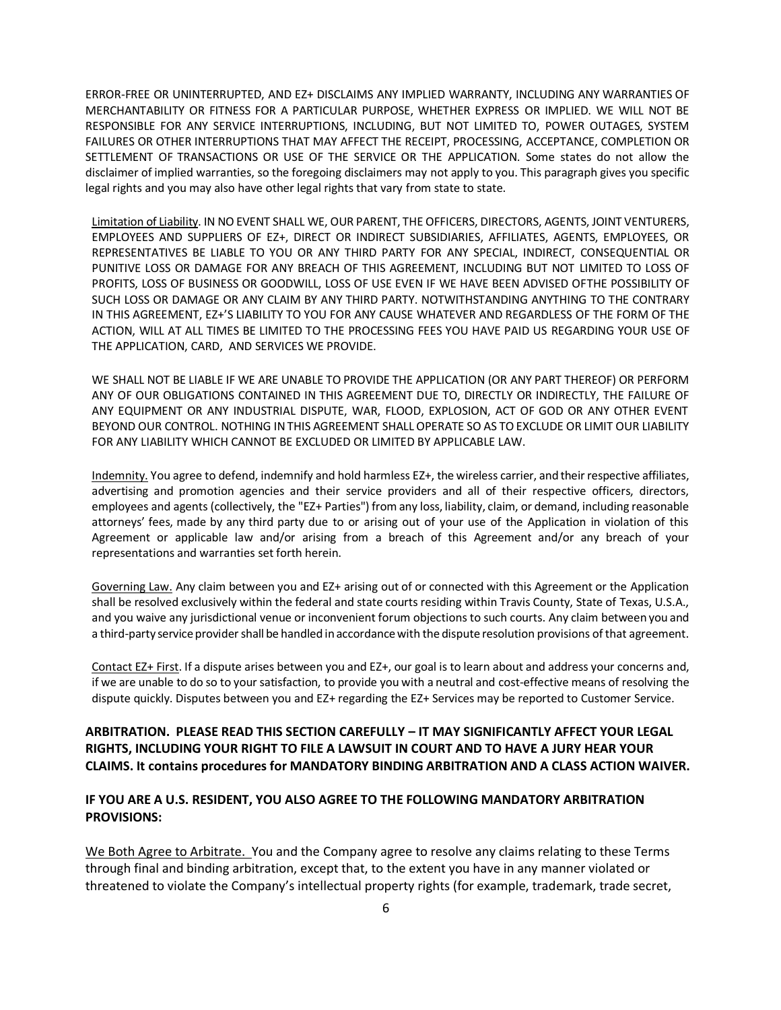ERROR-FREE OR UNINTERRUPTED, AND EZ+ DISCLAIMS ANY IMPLIED WARRANTY, INCLUDING ANY WARRANTIES OF MERCHANTABILITY OR FITNESS FOR A PARTICULAR PURPOSE, WHETHER EXPRESS OR IMPLIED. WE WILL NOT BE RESPONSIBLE FOR ANY SERVICE INTERRUPTIONS, INCLUDING, BUT NOT LIMITED TO, POWER OUTAGES, SYSTEM FAILURES OR OTHER INTERRUPTIONS THAT MAY AFFECT THE RECEIPT, PROCESSING, ACCEPTANCE, COMPLETION OR SETTLEMENT OF TRANSACTIONS OR USE OF THE SERVICE OR THE APPLICATION. Some states do not allow the disclaimer of implied warranties, so the foregoing disclaimers may not apply to you. This paragraph gives you specific legal rights and you may also have other legal rights that vary from state to state.

Limitation of Liability. IN NO EVENT SHALL WE, OUR PARENT, THE OFFICERS, DIRECTORS, AGENTS, JOINT VENTURERS, EMPLOYEES AND SUPPLIERS OF EZ+, DIRECT OR INDIRECT SUBSIDIARIES, AFFILIATES, AGENTS, EMPLOYEES, OR REPRESENTATIVES BE LIABLE TO YOU OR ANY THIRD PARTY FOR ANY SPECIAL, INDIRECT, CONSEQUENTIAL OR PUNITIVE LOSS OR DAMAGE FOR ANY BREACH OF THIS AGREEMENT, INCLUDING BUT NOT LIMITED TO LOSS OF PROFITS, LOSS OF BUSINESS OR GOODWILL, LOSS OF USE EVEN IF WE HAVE BEEN ADVISED OFTHE POSSIBILITY OF SUCH LOSS OR DAMAGE OR ANY CLAIM BY ANY THIRD PARTY. NOTWITHSTANDING ANYTHING TO THE CONTRARY IN THIS AGREEMENT, EZ+'S LIABILITY TO YOU FOR ANY CAUSE WHATEVER AND REGARDLESS OF THE FORM OF THE ACTION, WILL AT ALL TIMES BE LIMITED TO THE PROCESSING FEES YOU HAVE PAID US REGARDING YOUR USE OF THE APPLICATION, CARD, AND SERVICES WE PROVIDE.

WE SHALL NOT BE LIABLE IF WE ARE UNABLE TO PROVIDE THE APPLICATION (OR ANY PART THEREOF) OR PERFORM ANY OF OUR OBLIGATIONS CONTAINED IN THIS AGREEMENT DUE TO, DIRECTLY OR INDIRECTLY, THE FAILURE OF ANY EQUIPMENT OR ANY INDUSTRIAL DISPUTE, WAR, FLOOD, EXPLOSION, ACT OF GOD OR ANY OTHER EVENT BEYOND OUR CONTROL. NOTHING INTHIS AGREEMENT SHALL OPERATE SO AS TO EXCLUDE OR LIMIT OUR LIABILITY FOR ANY LIABILITY WHICH CANNOT BE EXCLUDED OR LIMITED BY APPLICABLE LAW.

Indemnity. You agree to defend, indemnify and hold harmless EZ+, the wireless carrier, and their respective affiliates, advertising and promotion agencies and their service providers and all of their respective officers, directors, employees and agents (collectively, the "EZ+ Parties") from any loss, liability, claim, or demand, including reasonable attorneys' fees, made by any third party due to or arising out of your use of the Application in violation of this Agreement or applicable law and/or arising from a breach of this Agreement and/or any breach of your representations and warranties set forth herein.

Governing Law. Any claim between you and EZ+ arising out of or connected with this Agreement or the Application shall be resolved exclusively within the federal and state courts residing within Travis County, State of Texas, U.S.A., and you waive any jurisdictional venue or inconvenient forum objections to such courts. Any claim between you and a third-party service provider shall be handled in accordance with the dispute resolution provisions of that agreement.

Contact EZ+ First. If a dispute arises between you and EZ+, our goal is to learn about and address your concerns and, if we are unable to do so to your satisfaction, to provide you with a neutral and cost-effective means of resolving the dispute quickly. Disputes between you and EZ+ regarding the EZ+ Services may be reported to Customer Service.

# **ARBITRATION. PLEASE READ THIS SECTION CAREFULLY – IT MAY SIGNIFICANTLY AFFECT YOUR LEGAL RIGHTS, INCLUDING YOUR RIGHT TO FILE A LAWSUIT IN COURT AND TO HAVE A JURY HEAR YOUR CLAIMS. It contains procedures for MANDATORY BINDING ARBITRATION AND A CLASS ACTION WAIVER.**

## **IF YOU ARE A U.S. RESIDENT, YOU ALSO AGREE TO THE FOLLOWING MANDATORY ARBITRATION PROVISIONS:**

We Both Agree to Arbitrate. You and the Company agree to resolve any claims relating to these Terms through final and binding arbitration, except that, to the extent you have in any manner violated or threatened to violate the Company's intellectual property rights (for example, trademark, trade secret,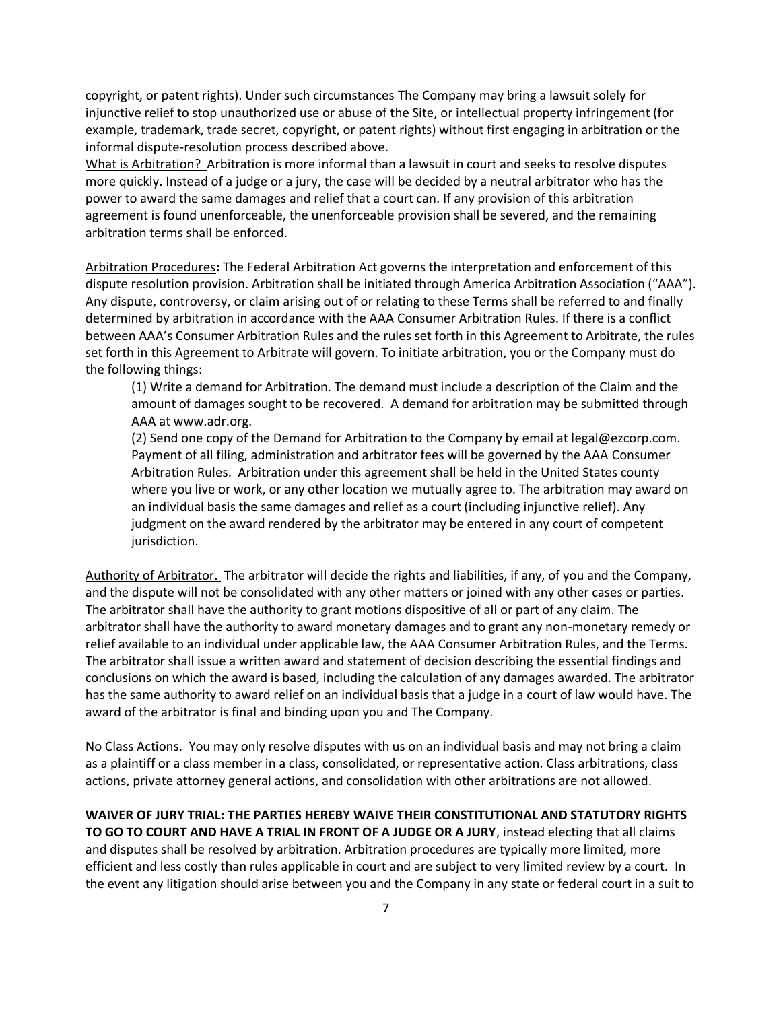copyright, or patent rights). Under such circumstances The Company may bring a lawsuit solely for injunctive relief to stop unauthorized use or abuse of the Site, or intellectual property infringement (for example, trademark, trade secret, copyright, or patent rights) without first engaging in arbitration or the informal dispute-resolution process described above.

What is Arbitration? Arbitration is more informal than a lawsuit in court and seeks to resolve disputes more quickly. Instead of a judge or a jury, the case will be decided by a neutral arbitrator who has the power to award the same damages and relief that a court can. If any provision of this arbitration agreement is found unenforceable, the unenforceable provision shall be severed, and the remaining arbitration terms shall be enforced.

Arbitration Procedures**:** The Federal Arbitration Act governs the interpretation and enforcement of this dispute resolution provision. Arbitration shall be initiated through America Arbitration Association ("AAA"). Any dispute, controversy, or claim arising out of or relating to these Terms shall be referred to and finally determined by arbitration in accordance with the AAA Consumer Arbitration Rules. If there is a conflict between AAA's Consumer Arbitration Rules and the rules set forth in this Agreement to Arbitrate, the rules set forth in this Agreement to Arbitrate will govern. To initiate arbitration, you or the Company must do the following things:

(1) Write a demand for Arbitration. The demand must include a description of the Claim and the amount of damages sought to be recovered. A demand for arbitration may be submitted through AAA at www.adr.org.

(2) Send one copy of the Demand for Arbitration to the Company by email at legal@ezcorp.com. Payment of all filing, administration and arbitrator fees will be governed by the AAA Consumer Arbitration Rules. Arbitration under this agreement shall be held in the United States county where you live or work, or any other location we mutually agree to. The arbitration may award on an individual basis the same damages and relief as a court (including injunctive relief). Any judgment on the award rendered by the arbitrator may be entered in any court of competent jurisdiction.

Authority of Arbitrator. The arbitrator will decide the rights and liabilities, if any, of you and the Company, and the dispute will not be consolidated with any other matters or joined with any other cases or parties. The arbitrator shall have the authority to grant motions dispositive of all or part of any claim. The arbitrator shall have the authority to award monetary damages and to grant any non-monetary remedy or relief available to an individual under applicable law, the AAA Consumer Arbitration Rules, and the Terms. The arbitrator shall issue a written award and statement of decision describing the essential findings and conclusions on which the award is based, including the calculation of any damages awarded. The arbitrator has the same authority to award relief on an individual basis that a judge in a court of law would have. The award of the arbitrator is final and binding upon you and The Company.

No Class Actions. You may only resolve disputes with us on an individual basis and may not bring a claim as a plaintiff or a class member in a class, consolidated, or representative action. Class arbitrations, class actions, private attorney general actions, and consolidation with other arbitrations are not allowed.

**WAIVER OF JURY TRIAL: THE PARTIES HEREBY WAIVE THEIR CONSTITUTIONAL AND STATUTORY RIGHTS TO GO TO COURT AND HAVE A TRIAL IN FRONT OF A JUDGE OR A JURY**, instead electing that all claims and disputes shall be resolved by arbitration. Arbitration procedures are typically more limited, more efficient and less costly than rules applicable in court and are subject to very limited review by a court. In the event any litigation should arise between you and the Company in any state or federal court in a suit to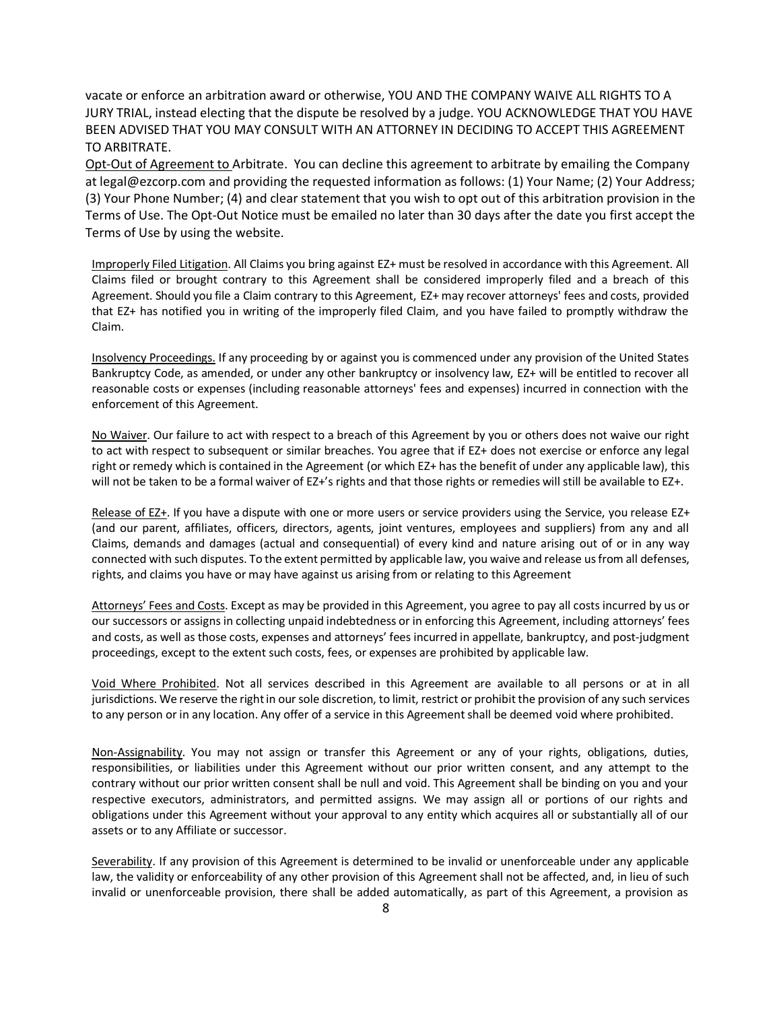vacate or enforce an arbitration award or otherwise, YOU AND THE COMPANY WAIVE ALL RIGHTS TO A JURY TRIAL, instead electing that the dispute be resolved by a judge. YOU ACKNOWLEDGE THAT YOU HAVE BEEN ADVISED THAT YOU MAY CONSULT WITH AN ATTORNEY IN DECIDING TO ACCEPT THIS AGREEMENT TO ARBITRATE.

Opt-Out of Agreement to Arbitrate. You can decline this agreement to arbitrate by emailing the Company at legal@ezcorp.com and providing the requested information as follows: (1) Your Name; (2) Your Address; (3) Your Phone Number; (4) and clear statement that you wish to opt out of this arbitration provision in the Terms of Use. The Opt-Out Notice must be emailed no later than 30 days after the date you first accept the Terms of Use by using the website.

Improperly Filed Litigation. All Claims you bring against EZ+ must be resolved in accordance with this Agreement. All Claims filed or brought contrary to this Agreement shall be considered improperly filed and a breach of this Agreement. Should you file a Claim contrary to this Agreement, EZ+ may recover attorneys' fees and costs, provided that EZ+ has notified you in writing of the improperly filed Claim, and you have failed to promptly withdraw the Claim.

Insolvency Proceedings. If any proceeding by or against you is commenced under any provision of the United States Bankruptcy Code, as amended, or under any other bankruptcy or insolvency law, EZ+ will be entitled to recover all reasonable costs or expenses (including reasonable attorneys' fees and expenses) incurred in connection with the enforcement of this Agreement.

No Waiver. Our failure to act with respect to a breach of this Agreement by you or others does not waive our right to act with respect to subsequent or similar breaches. You agree that if EZ+ does not exercise or enforce any legal right or remedy which is contained in the Agreement (or which EZ+ has the benefit of under any applicable law), this will not be taken to be a formal waiver of EZ+'s rights and that those rights or remedies will still be available to EZ+.

Release of EZ+. If you have a dispute with one or more users or service providers using the Service, you release EZ+ (and our parent, affiliates, officers, directors, agents, joint ventures, employees and suppliers) from any and all Claims, demands and damages (actual and consequential) of every kind and nature arising out of or in any way connected with such disputes. To the extent permitted by applicable law, you waive and release us from all defenses, rights, and claims you have or may have against us arising from or relating to this Agreement

Attorneys' Fees and Costs. Except as may be provided in this Agreement, you agree to pay all costs incurred by us or our successors or assigns in collecting unpaid indebtedness or in enforcing this Agreement, including attorneys' fees and costs, as well as those costs, expenses and attorneys' fees incurred in appellate, bankruptcy, and post-judgment proceedings, except to the extent such costs, fees, or expenses are prohibited by applicable law.

Void Where Prohibited. Not all services described in this Agreement are available to all persons or at in all jurisdictions. We reserve the right in our sole discretion, to limit, restrict or prohibit the provision of any such services to any person or in any location. Any offer of a service in this Agreement shall be deemed void where prohibited.

Non-Assignability. You may not assign or transfer this Agreement or any of your rights, obligations, duties, responsibilities, or liabilities under this Agreement without our prior written consent, and any attempt to the contrary without our prior written consent shall be null and void. This Agreement shall be binding on you and your respective executors, administrators, and permitted assigns. We may assign all or portions of our rights and obligations under this Agreement without your approval to any entity which acquires all or substantially all of our assets or to any Affiliate or successor.

Severability. If any provision of this Agreement is determined to be invalid or unenforceable under any applicable law, the validity or enforceability of any other provision of this Agreement shall not be affected, and, in lieu of such invalid or unenforceable provision, there shall be added automatically, as part of this Agreement, a provision as